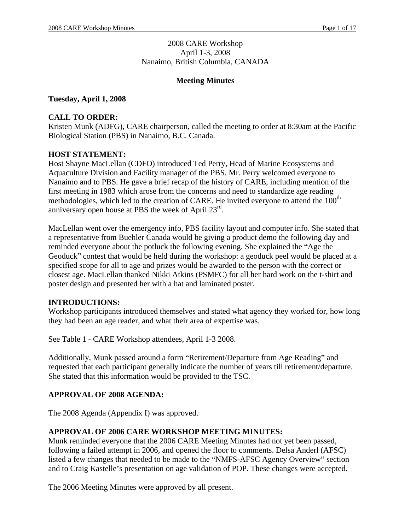### 2008 CARE Workshop April 1-3, 2008 Nanaimo, British Columbia, CANADA

# **Meeting Minutes**

**Tuesday, April 1, 2008**

## **CALL TO ORDER:**

Kristen Munk (ADFG), CARE chairperson, called the meeting to order at 8:30am at the Pacific Biological Station (PBS) in Nanaimo, B.C. Canada.

## **HOST STATEMENT:**

Host Shayne MacLellan (CDFO) introduced Ted Perry, Head of Marine Ecosystems and Aquaculture Division and Facility manager of the PBS. Mr. Perry welcomed everyone to Nanaimo and to PBS. He gave a brief recap of the history of CARE, including mention of the first meeting in 1983 which arose from the concerns and need to standardize age reading methodologies, which led to the creation of CARE. He invited everyone to attend the 100<sup>th</sup> anniversary open house at PBS the week of April  $23<sup>rd</sup>$ . . A construction of the construction of the construction of the construction of the construction of the construction of the construction of the construction of the construction of the construction of the construction of th

MacLellan went over the emergency info, PBS facility layout and computer info. She stated that a representative from Buehler Canada would be giving a product demo the following day and reminded everyone about the potluck the following evening. She explained the "Age the Geoduck" contest that would be held during the workshop: a geoduck peel would be placed at a specified scope for all to age and prizes would be awarded to the person with the correct or closest age. MacLellan thanked Nikki Atkins (PSMFC) for all her hard work on the t-shirt and poster design and presented her with a hat and laminated poster.

## **INTRODUCTIONS:**

Workshop participants introduced themselves and stated what agency they worked for, how long they had been an age reader, and what their area of expertise was. See Table 1 - CARE Workshop attendees, April 1-3 2008.

Additionally, Munk passed around a form "Retirement/Departure from Age Reading" and requested that each participant generally indicate the number of years till retirement/departure. She stated that this information would be provided to the TSC.

## **APPROVAL OF 2008 AGENDA:**

The 2008 Agenda (Appendix I) was approved.

## **APPROVAL OF 2006 CARE WORKSHOP MEETING MINUTES:**

Munk reminded everyone that the 2006 CARE Meeting Minutes had not yet been passed, following a failed attempt in 2006, and opened the floor to comments. Delsa Anderl (AFSC) listed a few changes that needed to be made to the "NMFS-AFSC Agency Overview" section and to Craig Kastelle's presentation on age validation of POP. These changes were accepted.

The 2006 Meeting Minutes were approved by all present.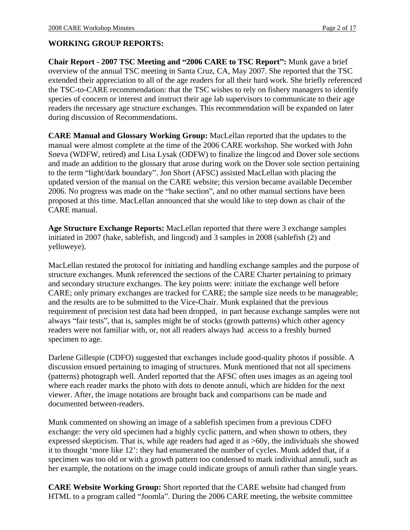### **WORKING GROUP REPORTS:**

**Chair Report - 2007 TSC Meeting and 2006 CARE to TSC Report :** Munk gave a brief overview of the annual TSC meeting in Santa Cruz, CA, May 2007. She reported that the TSC extended their appreciation to all of the age readers for all their hard work. She briefly referenced the TSC-to-CARE recommendation: that the TSC wishes to rely on fishery managers to identify species of concern or interest and instruct their age lab supervisors to communicate to their age readers the necessary age structure exchanges. This recommendation will be expanded on later during discussion of Recommendations.

**CARE Manual and Glossary Working Group:** MacLellan reported that the updates to the manual were almost complete at the time of the 2006 CARE workshop. She worked with John Sneva (WDFW, retired) and Lisa Lysak (ODFW) to finalize the lingcod and Dover sole sections and made an addition to the glossary that arose during work on the Dover sole section pertaining to the term "light/dark boundary". Jon Short (AFSC) assisted MacLellan with placing the updated version of the manual on the CARE website; this version became available December 2006. No progress was made on the "hake section", and no other manual sections have been proposed at this time. MacLellan announced that she would like to step down as chair of the CARE manual.

**Age Structure Exchange Reports:** MacLellan reported that there were 3 exchange samples initiated in 2007 (hake, sablefish, and lingcod) and 3 samples in 2008 (sablefish (2) and yelloweye).

MacLellan restated the protocol for initiating and handling exchange samples and the purpose of structure exchanges. Munk referenced the sections of the CARE Charter pertaining to primary and secondary structure exchanges. The key points were: initiate the exchange well before CARE; only primary exchanges are tracked for CARE; the sample size needs to be manageable; and the results are to be submitted to the Vice-Chair. Munk explained that the previous requirement of precision test data had been dropped, in part because exchange samples were not always "fair tests", that is, samples might be of stocks (growth patterns) which other agency readers were not familiar with, or, not all readers always had access to a freshly burned specimen to age.

Darlene Gillespie (CDFO) suggested that exchanges include good-quality photos if possible. A discussion ensued pertaining to imaging of structures. Munk mentioned that not all specimens (patterns) photograph well. Anderl reported that the AFSC often uses images as an ageing tool where each reader marks the photo with dots to denote annuli, which are hidden for the next viewer. After, the image notations are brought back and comparisons can be made and documented between-readers.

Munk commented on showing an image of a sablefish specimen from a previous CDFO exchange: the very old specimen had a highly cyclic pattern, and when shown to others, they expressed skepticism. That is, while age readers had aged it as >60y, the individuals she showed it to thought 'more like 12': they had enumerated the number of cycles. Munk added that, if a specimen was too old or with a growth pattern too condensed to mark individual annuli, such as her example, the notations on the image could indicate groups of annuli rather than single years.

**CARE Website Working Group:** Short reported that the CARE website had changed from HTML to a program called "Joomla". During the 2006 CARE meeting, the website committee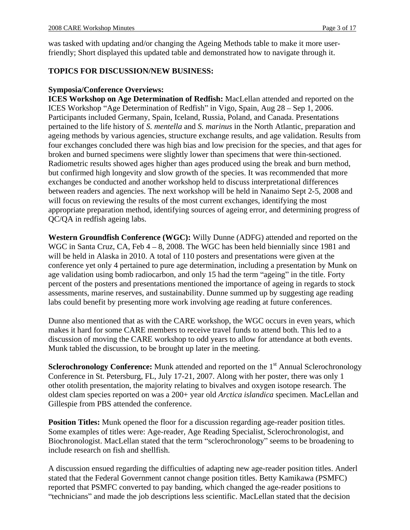was tasked with updating and/or changing the Ageing Methods table to make it more userfriendly; Short displayed this updated table and demonstrated how to navigate through it.

## **TOPICS FOR DISCUSSION/NEW BUSINESS:**

### **Symposia/Conference Overviews:**

**ICES Workshop on Age Determination of Redfish:** MacLellan attended and reported on the ICES Workshop "Age Determination of Redfish" in Vigo, Spain, Aug 28 - Sep 1, 2006.<br>Participants included Germany, Spain, Iceland, Russia, Poland, and Canada. Presentations pertained to the life history of *S. mentella* and *S. marinus* in the North Atlantic, preparation and ageing methods by various agencies, structure exchange results, and age validation. Results from four exchanges concluded there was high bias and low precision for the species, and that ages for broken and burned specimens were slightly lower than specimens that were thin-sectioned. Radiometric results showed ages higher than ages produced using the break and burn method, but confirmed high longevity and slow growth of the species. It was recommended that more exchanges be conducted and another workshop held to discuss interpretational differences between readers and agencies. The next workshop will be held in Nanaimo Sept 2-5, 2008 and will focus on reviewing the results of the most current exchanges, identifying the most appropriate preparation method, identifying sources of ageing error, and determining progress of QC/QA in redfish ageing labs.

**Western Groundfish Conference (WGC):** Willy Dunne (ADFG) attended and reported on the WGC in Santa Cruz, CA, Feb  $4 - 8$ , 2008. The WGC has been held biennially since 1981 and will be held in Alaska in 2010. A total of 110 posters and presentations were given at the conference yet only 4 pertained to pure age determination, including a presentation by Munk on age validation using bomb radiocarbon, and only 15 had the term "ageing" in the title. Forty percent of the posters and presentations mentioned the importance of ageing in regards to stock assessments, marine reserves, and sustainability. Dunne summed up by suggesting age reading labs could benefit by presenting more work involving age reading at future conferences.

Dunne also mentioned that as with the CARE workshop, the WGC occurs in even years, which makes it hard for some CARE members to receive travel funds to attend both. This led to a discussion of moving the CARE workshop to odd years to allow for attendance at both events. Munk tabled the discussion, to be brought up later in the meeting.

Sclerochronology Conference: Munk attended and reported on the 1<sup>st</sup> Annual Sclerochronology Conference in St. Petersburg, FL, July 17-21, 2007. Along with her poster, there was only 1 other otolith presentation, the majority relating to bivalves and oxygen isotope research. The oldest clam species reported on was a 200+ year old *Arctica islandica* specimen. MacLellan and Gillespie from PBS attended the conference.

**Position Titles:** Munk opened the floor for a discussion regarding age-reader position titles. Some examples of titles were: Age-reader, Age Reading Specialist, Sclerochronologist, and Biochronologist. MacLellan stated that the term "sclerochronology" seems to be broadening to include research on fish and shellfish.

A discussion ensued regarding the difficulties of adapting new age-reader position titles. Anderl stated that the Federal Government cannot change position titles. Betty Kamikawa (PSMFC) reported that PSMFC converted to pay banding, which changed the age-reader positions to "technicians" and made the job descriptions less scientific. MacLellan stated that the decision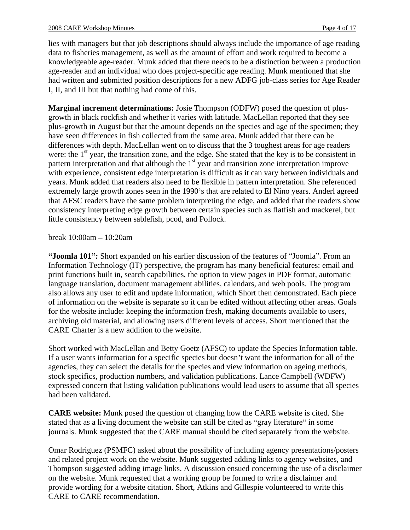lies with managers but that job descriptions should always include the importance of age reading data to fisheries management, as well as the amount of effort and work required to become a knowledgeable age-reader. Munk added that there needs to be a distinction between a production age-reader and an individual who does project-specific age reading. Munk mentioned that she had written and submitted position descriptions for a new ADFG job-class series for Age Reader I, II, and III but that nothing had come of this.

**Marginal increment determinations:** Josie Thompson (ODFW) posed the question of plus growth in black rockfish and whether it varies with latitude. MacLellan reported that they see plus-growth in August but that the amount depends on the species and age of the specimen; they have seen differences in fish collected from the same area. Munk added that there can be differences with depth. MacLellan went on to discuss that the 3 toughest areas for age readers were: the  $1<sup>st</sup>$  year, the transition zone, and the edge. She stated that the key is to be consistent in pattern interpretation and that although the  $1<sup>st</sup>$  year and transition zone interpretation improve with experience, consistent edge interpretation is difficult as it can vary between individuals and years. Munk added that readers also need to be flexible in pattern interpretation. She referenced extremely large growth zones seen in the 1990's that are related to El Nino years. Anderl agreed that AFSC readers have the same problem interpreting the edge, and added that the readers show consistency interpreting edge growth between certain species such as flatfish and mackerel, but little consistency between sablefish, pcod, and Pollock.

break 10:00am 10:20am

"**Joomla 101":** Short expanded on his earlier discussion of the features of "Joomla". From an Information Technology (IT) perspective, the program has many beneficial features: email and print functions built in, search capabilities, the option to view pages in PDF format, automatic language translation, document management abilities, calendars, and web pools. The program also allows any user to edit and update information, which Short then demonstrated. Each piece of information on the website is separate so it can be edited without affecting other areas. Goals for the website include: keeping the information fresh, making documents available to users, archiving old material, and allowing users different levels of access. Short mentioned that the CARE Charter is a new addition to the website.

Short worked with MacLellan and Betty Goetz (AFSC) to update the Species Information table. If a user wants information for a specific species but doesn't want the information for all of the agencies, they can select the details for the species and view information on ageing methods, stock specifics, production numbers, and validation publications. Lance Campbell (WDFW) expressed concern that listing validation publications would lead users to assume that all species had been validated.

**CARE website:** Munk posed the question of changing how the CARE website is cited. She stated that as a living document the website can still be cited as "gray literature" in some journals. Munk suggested that the CARE manual should be cited separately from the website.

Omar Rodriguez (PSMFC) asked about the possibility of including agency presentations/posters and related project work on the website. Munk suggested adding links to agency websites, and Thompson suggested adding image links. A discussion ensued concerning the use of a disclaimer on the website. Munk requested that a working group be formed to write a disclaimer and provide wording for a website citation. Short, Atkins and Gillespie volunteered to write this CARE to CARE recommendation.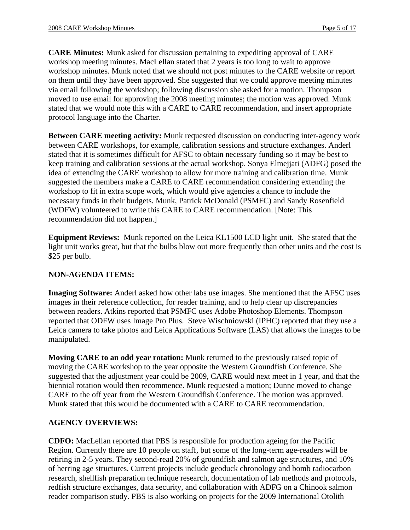**CARE Minutes:** Munk asked for discussion pertaining to expediting approval of CARE workshop meeting minutes. MacLellan stated that 2 years is too long to wait to approve workshop minutes. Munk noted that we should not post minutes to the CARE website or report on them until they have been approved. She suggested that we could approve meeting minutes via email following the workshop; following discussion she asked for a motion. Thompson moved to use email for approving the 2008 meeting minutes; the motion was approved. Munk stated that we would note this with a CARE to CARE recommendation, and insert appropriate protocol language into the Charter.

**Between CARE meeting activity:** Munk requested discussion on conducting inter-agency work between CARE workshops, for example, calibration sessions and structure exchanges. Anderl stated that it is sometimes difficult for AFSC to obtain necessary funding so it may be best to keep training and calibration sessions at the actual workshop. Sonya Elmejjati (ADFG) posed the idea of extending the CARE workshop to allow for more training and calibration time. Munk suggested the members make a CARE to CARE recommendation considering extending the workshop to fit in extra scope work, which would give agencies a chance to include the necessary funds in their budgets. Munk, Patrick McDonald (PSMFC) and Sandy Rosenfield (WDFW) volunteered to write this CARE to CARE recommendation. [Note: This recommendation did not happen.]

**Equipment Reviews:** Munk reported on the Leica KL1500 LCD light unit. She stated that the light unit works great, but that the bulbs blow out more frequently than other units and the cost is \$25 per bulb.

#### **NON-AGENDA ITEMS:**

**Imaging Software:** Anderl asked how other labs use images. She mentioned that the AFSC uses images in their reference collection, for reader training, and to help clear up discrepancies between readers. Atkins reported that PSMFC uses Adobe Photoshop Elements. Thompson reported that ODFW uses Image Pro Plus. Steve Wischniowski (IPHC) reported that they use a Leica camera to take photos and Leica Applications Software (LAS) that allows the images to be manipulated.

**Moving CARE to an odd year rotation:** Munk returned to the previously raised topic of moving the CARE workshop to the year opposite the Western Groundfish Conference. She suggested that the adjustment year could be 2009, CARE would next meet in 1 year, and that the biennial rotation would then recommence. Munk requested a motion; Dunne moved to change CARE to the off year from the Western Groundfish Conference. The motion was approved. Munk stated that this would be documented with a CARE to CARE recommendation.

#### **AGENCY OVERVIEWS:**

**CDFO:** MacLellan reported that PBS is responsible for production ageing for the Pacific Region. Currently there are 10 people on staff, but some of the long-term age-readers will be retiring in 2-5 years. They second-read 20% of groundfish and salmon age structures, and 10% of herring age structures. Current projects include geoduck chronology and bomb radiocarbon research, shellfish preparation technique research, documentation of lab methods and protocols, redfish structure exchanges, data security, and collaboration with ADFG on a Chinook salmon reader comparison study. PBS is also working on projects for the 2009 International Otolith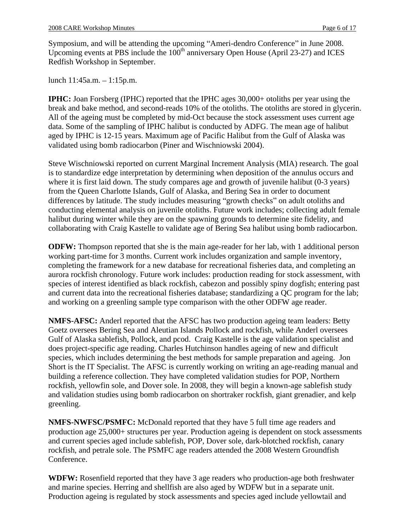Symposium, and will be attending the upcoming "Ameri-dendro Conference" in June 2008. Upcoming events at PBS include the 100<sup>th</sup> anniversary Open House (April 23-27) and ICES Redfish Workshop in September.

lunch  $11:45a.m. - 1:15p.m.$ 

**IPHC:** Joan Forsberg (IPHC) reported that the IPHC ages 30,000+ otoliths per year using the break and bake method, and second-reads 10% of the otoliths. The otoliths are stored in glycerin. All of the ageing must be completed by mid-Oct because the stock assessment uses current age data. Some of the sampling of IPHC halibut is conducted by ADFG. The mean age of halibut aged by IPHC is 12-15 years. Maximum age of Pacific Halibut from the Gulf of Alaska was validated using bomb radiocarbon (Piner and Wischniowski 2004).

Steve Wischniowski reported on current Marginal Increment Analysis (MIA) research. The goal is to standardize edge interpretation by determining when deposition of the annulus occurs and where it is first laid down. The study compares age and growth of juvenile halibut (0-3 years) from the Queen Charlotte Islands, Gulf of Alaska, and Bering Sea in order to document differences by latitude. The study includes measuring "growth checks" on adult otoliths and conducting elemental analysis on juvenile otoliths. Future work includes; collecting adult female halibut during winter while they are on the spawning grounds to determine site fidelity, and collaborating with Craig Kastelle to validate age of Bering Sea halibut using bomb radiocarbon.

**ODFW:** Thompson reported that she is the main age-reader for her lab, with 1 additional person working part-time for 3 months. Current work includes organization and sample inventory, completing the framework for a new database for recreational fisheries data, and completing an aurora rockfish chronology. Future work includes: production reading for stock assessment, with species of interest identified as black rockfish, cabezon and possibly spiny dogfish; entering past and current data into the recreational fisheries database; standardizing a QC program for the lab; and working on a greenling sample type comparison with the other ODFW age reader.

**NMFS-AFSC:** Anderl reported that the AFSC has two production ageing team leaders: Betty Goetz oversees Bering Sea and Aleutian Islands Pollock and rockfish, while Anderl oversees Gulf of Alaska sablefish, Pollock, and pcod. Craig Kastelle is the age validation specialist and does project-specific age reading. Charles Hutchinson handles ageing of new and difficult species, which includes determining the best methods for sample preparation and ageing. Jon Short is the IT Specialist. The AFSC is currently working on writing an age-reading manual and building a reference collection. They have completed validation studies for POP, Northern rockfish, yellowfin sole, and Dover sole. In 2008, they will begin a known-age sablefish study and validation studies using bomb radiocarbon on shortraker rockfish, giant grenadier, and kelp greenling.

**NMFS-NWFSC/PSMFC:** McDonald reported that they have 5 full time age readers and production age 25,000+ structures per year. Production ageing is dependent on stock assessments and current species aged include sablefish, POP, Dover sole, dark-blotched rockfish, canary rockfish, and petrale sole. The PSMFC age readers attended the 2008 Western Groundfish conference.

**WDFW:** Rosenfield reported that they have 3 age readers who production-age both freshwater and marine species. Herring and shellfish are also aged by WDFW but in a separate unit. Production ageing is regulated by stock assessments and species aged include yellowtail and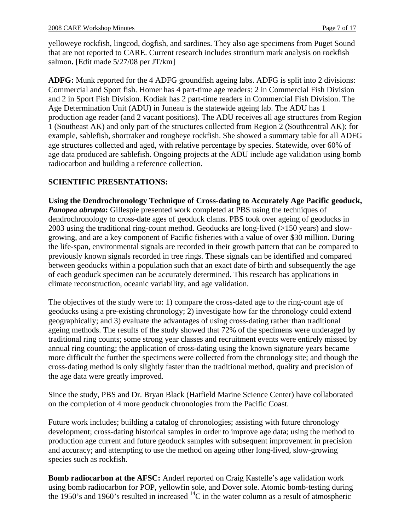yelloweye rockfish, lingcod, dogfish, and sardines. They also age specimens from Puget Sound that are not reported to CARE. Current research includes strontium mark analysis on rockfish salmon**.** [Edit made 5/27/08 per JT/km]

**ADFG:** Munk reported for the 4 ADFG groundfish ageing labs. ADFG is split into 2 divisions: Commercial and Sport fish. Homer has 4 part-time age readers: 2 in Commercial Fish Division and 2 in Sport Fish Division. Kodiak has 2 part-time readers in Commercial Fish Division. The Age Determination Unit (ADU) in Juneau is the statewide ageing lab. The ADU has 1 production age reader (and 2 vacant positions). The ADU receives all age structures from Region 1 (Southeast AK) and only part of the structures collected from Region 2 (Southcentral AK); for example, sablefish, shortraker and rougheye rockfish. She showed a summary table for all ADFG age structures collected and aged, with relative percentage by species. Statewide, over 60% of age data produced are sablefish. Ongoing projects at the ADU include age validation using bomb radiocarbon and building a reference collection.

### **SCIENTIFIC PRESENTATIONS:**

**Using the Dendrochronology Technique of Cross-dating to Accurately Age Pacific geoduck,**  *Panopea abrupta*: Gillespie presented work completed at PBS using the techniques of dendrochronology to cross-date ages of geoduck clams. PBS took over ageing of geoducks in 2003 using the traditional ring-count method. Geoducks are long-lived (>150 years) and slow growing, and are a key component of Pacific fisheries with a value of over \$30 million. During the life-span, environmental signals are recorded in their growth pattern that can be compared to previously known signals recorded in tree rings. These signals can be identified and compared between geoducks within a population such that an exact date of birth and subsequently the age of each geoduck specimen can be accurately determined. This research has applications in climate reconstruction, oceanic variability, and age validation.

The objectives of the study were to: 1) compare the cross-dated age to the ring-count age of geoducks using a pre-existing chronology; 2) investigate how far the chronology could extend geographically; and 3) evaluate the advantages of using cross-dating rather than traditional ageing methods. The results of the study showed that 72% of the specimens were underaged by traditional ring counts; some strong year classes and recruitment events were entirely missed by annual ring counting; the application of cross-dating using the known signature years became more difficult the further the specimens were collected from the chronology site; and though the cross-dating method is only slightly faster than the traditional method, quality and precision of the age data were greatly improved.

Since the study, PBS and Dr. Bryan Black (Hatfield Marine Science Center) have collaborated on the completion of 4 more geoduck chronologies from the Pacific Coast.

Future work includes; building a catalog of chronologies; assisting with future chronology development; cross-dating historical samples in order to improve age data; using the method to production age current and future geoduck samples with subsequent improvement in precision and accuracy; and attempting to use the method on ageing other long-lived, slow-growing species such as rockfish.

**Bomb radiocarbon at the AFSC:** Anderl reported on Craig Kastelle's age validation work using bomb radiocarbon for POP, yellowfin sole, and Dover sole. Atomic bomb-testing during the 1950's and 1960's resulted in increased  ${}^{14}$ C in the water column as a result of atmospheric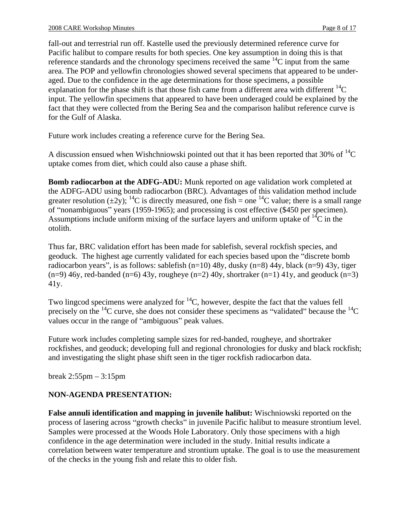fall-out and terrestrial run off. Kastelle used the previously determined reference curve for Pacific halibut to compare results for both species. One key assumption in doing this is that reference standards and the chronology specimens received the same  $14C$  input from the same area. The POP and yellowfin chronologies showed several specimens that appeared to be under aged. Due to the confidence in the age determinations for those specimens, a possible explanation for the phase shift is that those fish came from a different area with different  $^{14}C$ input. The yellowfin specimens that appeared to have been underaged could be explained by the fact that they were collected from the Bering Sea and the comparison halibut reference curve is for the Gulf of Alaska.

Future work includes creating a reference curve for the Bering Sea.

A discussion ensued when Wishchniowski pointed out that it has been reported that 30% of  ${}^{14}C$ uptake comes from diet, which could also cause a phase shift.

**Bomb radiocarbon at the ADFG-ADU:** Munk reported on age validation work completed at the ADFG-ADU using bomb radiocarbon (BRC). Advantages of this validation method include greater resolution  $(\pm 2y)$ ; <sup>14</sup>C is directly measured, one fish = one <sup>14</sup>C value; there is a small range of "nonambiguous" years (1959-1965); and processing is cost effective (\$450 per specimen).<br>Assumptions include uniform mixing of the surface layers and uniform uptake of  $^{14}C$  in the otolith.

Thus far, BRC validation effort has been made for sablefish, several rockfish species, and geoduck. The highest age currently validated for each species based upon the "discrete bomb" radiocarbon years", is as follows: sablefish  $(n=10)$  48y, dusky  $(n=8)$  44y, black  $(n=9)$  43y, tiger  $(n=9)$  46y, red-banded  $(n=6)$  43y, rougheye  $(n=2)$  40y, shortraker  $(n=1)$  41y, and geoduck  $(n=3)$ 41y.

Two lingcod specimens were analyzed for  ${}^{14}C$ , however, despite the fact that the values fell precisely on the  $^{14}$ C curve, she does not consider these specimens as "validated" because the  $^{14}$ C values occur in the range of "ambiguous" peak values.<br>Future work includes completing sample sizes for red-banded, rougheye, and shortraker

rockfishes, and geoduck; developing full and regional chronologies for dusky and black rockfish; and investigating the slight phase shift seen in the tiger rockfish radiocarbon data.<br>break 2:55pm – 3:15pm

## **NON-AGENDA PRESENTATION:**

**False annuli identification and mapping in juvenile halibut:** Wischniowski reported on the process of lasering across "growth checks" in juvenile Pacific halibut to measure strontium level.<br>Samples were processed at the Woods Hole Laboratory. Only those specimens with a high confidence in the age determination were included in the study. Initial results indicate a correlation between water temperature and strontium uptake. The goal is to use the measurement of the checks in the young fish and relate this to older fish.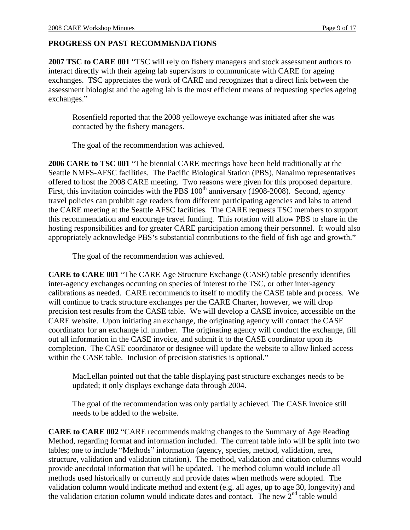## **PROGRESS ON PAST RECOMMENDATIONS**

2007 TSC to CARE 001 "TSC will rely on fishery managers and stock assessment authors to interact directly with their ageing lab supervisors to communicate with CARE for ageing exchanges. TSC appreciates the work of CARE and recognizes that a direct link between the assessment biologist and the ageing lab is the most efficient means of requesting species ageing exchanges."

Rosenfield reported that the 2008 yelloweye exchange was initiated after she was contacted by the fishery managers.

The goal of the recommendation was achieved.

**2006 CARE to TSC 001** "The biennial CARE meetings have been held traditionally at the Seattle NMFS-AFSC facilities. The Pacific Biological Station (PBS), Nanaimo representatives offered to host the 2008 CARE meeting. Two reasons were given for this proposed departure. First, this invitation coincides with the PBS  $100<sup>th</sup>$  anniversary (1908-2008). Second, agency travel policies can prohibit age readers from different participating agencies and labs to attend the CARE meeting at the Seattle AFSC facilities. The CARE requests TSC members to support this recommendation and encourage travel funding. This rotation will allow PBS to share in the hosting responsibilities and for greater CARE participation among their personnel. It would also appropriately acknowledge PBS's substantial contributions to the field of fish age and growth."

The goal of the recommendation was achieved.

**CARE to CARE 001** "The CARE Age Structure Exchange (CASE) table presently identifies inter-agency exchanges occurring on species of interest to the TSC, or other inter-agency calibrations as needed. CARE recommends to itself to modify the CASE table and process. We will continue to track structure exchanges per the CARE Charter, however, we will drop precision test results from the CASE table. We will develop a CASE invoice, accessible on the CARE website. Upon initiating an exchange, the originating agency will contact the CASE coordinator for an exchange id. number. The originating agency will conduct the exchange, fill out all information in the CASE invoice, and submit it to the CASE coordinator upon its completion. The CASE coordinator or designee will update the website to allow linked access within the CASE table. Inclusion of precision statistics is optional."

MacLellan pointed out that the table displaying past structure exchanges needs to be updated; it only displays exchange data through 2004.

The goal of the recommendation was only partially achieved. The CASE invoice still needs to be added to the website.

**CARE to CARE 002** "CARE recommends making changes to the Summary of Age Reading Method, regarding format and information included. The current table info will be split into two tables; one to include "Methods" information (agency, species, method, validation, area, structure, validation and validation citation). The method, validation and citation columns would provide anecdotal information that will be updated. The method column would include all methods used historically or currently and provide dates when methods were adopted. The validation column would indicate method and extent (e.g. all ages, up to age 30, longevity) and the validation citation column would indicate dates and contact. The new  $2<sup>nd</sup>$  table would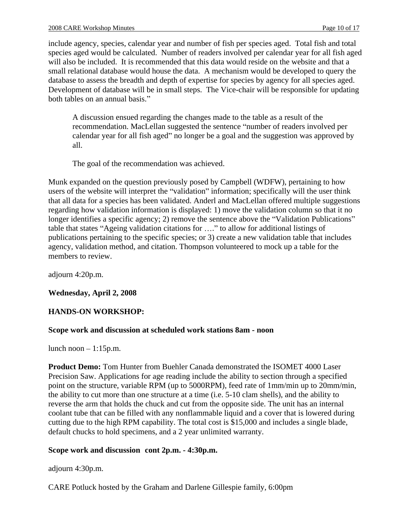include agency, species, calendar year and number of fish per species aged. Total fish and total species aged would be calculated. Number of readers involved per calendar year for all fish aged will also be included. It is recommended that this data would reside on the website and that a small relational database would house the data. A mechanism would be developed to query the database to assess the breadth and depth of expertise for species by agency for all species aged. Development of database will be in small steps. The Vice-chair will be responsible for updating both tables on an annual basis.

A discussion ensued regarding the changes made to the table as a result of the recommendation. MacLellan suggested the sentence "number of readers involved per calendar year for all fish aged" no longer be a goal and the suggestion was approved by all.

The goal of the recommendation was achieved.

Munk expanded on the question previously posed by Campbell (WDFW), pertaining to how users of the website will interpret the "validation" information; specifically will the user think that all data for a species has been validated. Anderl and MacLellan offered multiple suggestions regarding how validation information is displayed: 1) move the validation column so that it no longer identifies a specific agency; 2) remove the sentence above the "Validation Publications" table that states "Ageing validation citations for ...." to allow for additional listings of publications pertaining to the specific species; or 3) create a new validation table that includes agency, validation method, and citation. Thompson volunteered to mock up a table for the members to review.

adjourn 4:20p.m.

## **Wednesday, April 2, 2008**

## **HANDS-ON WORKSHOP:**

#### **Scope work and discussion at scheduled work stations 8am - noon**

lunch noon  $-1:15p.m.$ 

**Product Demo:** Tom Hunter from Buehler Canada demonstrated the ISOMET 4000 Laser Precision Saw. Applications for age reading include the ability to section through a specified point on the structure, variable RPM (up to 5000RPM), feed rate of 1mm/min up to 20mm/min, the ability to cut more than one structure at a time (i.e. 5-10 clam shells), and the ability to reverse the arm that holds the chuck and cut from the opposite side. The unit has an internal coolant tube that can be filled with any nonflammable liquid and a cover that is lowered during cutting due to the high RPM capability. The total cost is \$15,000 and includes a single blade, default chucks to hold specimens, and a 2 year unlimited warranty.

#### **Scope work and discussion cont 2p.m. - 4:30p.m.**

adjourn 4:30p.m.

CARE Potluck hosted by the Graham and Darlene Gillespie family, 6:00pm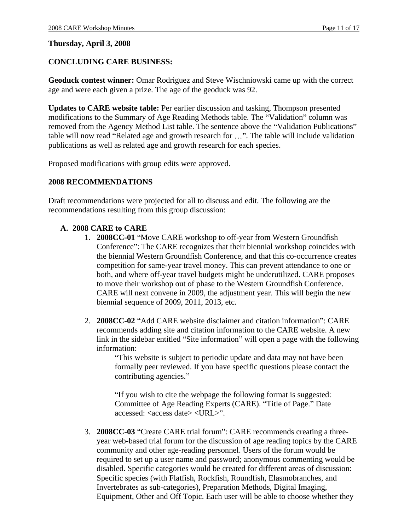#### **Thursday, April 3, 2008**

### **CONCLUDING CARE BUSINESS:**

**Geoduck contest winner:** Omar Rodriguez and Steve Wischniowski came up with the correct age and were each given a prize. The age of the geoduck was 92.

**Updates to CARE website table:** Per earlier discussion and tasking, Thompson presented modifications to the Summary of Age Reading Methods table. The "Validation" column was removed from the Agency Method List table. The sentence above the "Validation Publications" table will now read "Related age and growth research for ...". The table will include validation publications as well as related age and growth research for each species.

Proposed modifications with group edits were approved.

#### **2008 RECOMMENDATIONS**

Draft recommendations were projected for all to discuss and edit. The following are the recommendations resulting from this group discussion:

#### **A. 2008 CARE to CARE**

- 1. **2008CC-01** "Move CARE workshop to off-year from Western Groundfish Conference": The CARE recognizes that their biennial workshop coincides with the biennial Western Groundfish Conference, and that this co-occurrence creates competition for same-year travel money. This can prevent attendance to one or both, and where off-year travel budgets might be underutilized. CARE proposes to move their workshop out of phase to the Western Groundfish Conference. CARE will next convene in 2009, the adjustment year. This will begin the new biennial sequence of 2009, 2011, 2013, etc.
- 2. **2008CC-02** "Add CARE website disclaimer and citation information": CARE recommends adding site and citation information to the CARE website. A new link in the sidebar entitled "Site information" will open a page with the following information:

This website is subject to periodic update and data may not have been formally peer reviewed. If you have specific questions please contact the contributing agencies."

"If you wish to cite the webpage the following format is suggested: Committee of Age Reading Experts (CARE). "Title of Page." Date accessed: <access date> <URL>".

3. **2008CC-03** "Create CARE trial forum": CARE recommends creating a threeyear web-based trial forum for the discussion of age reading topics by the CARE community and other age-reading personnel. Users of the forum would be required to set up a user name and password; anonymous commenting would be disabled. Specific categories would be created for different areas of discussion: Specific species (with Flatfish, Rockfish, Roundfish, Elasmobranches, and Invertebrates as sub-categories), Preparation Methods, Digital Imaging, Equipment, Other and Off Topic. Each user will be able to choose whether they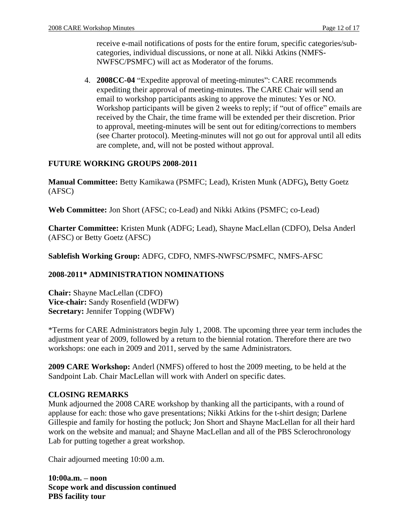receive e-mail notifications of posts for the entire forum, specific categories/sub categories, individual discussions, or none at all. Nikki Atkins (NMFS- NWFSC/PSMFC) will act as Moderator of the forums.

4. **2008CC-04** "Expedite approval of meeting-minutes": CARE recommends expediting their approval of meeting-minutes. The CARE Chair will send an email to workshop participants asking to approve the minutes: Yes or NO. Workshop participants will be given  $\overline{2}$  weeks to reply; if "out of office" emails are received by the Chair, the time frame will be extended per their discretion. Prior to approval, meeting-minutes will be sent out for editing/corrections to members (see Charter protocol). Meeting-minutes will not go out for approval until all edits are complete, and, will not be posted without approval.

#### **FUTURE WORKING GROUPS 2008-2011**

**Manual Committee:** Betty Kamikawa (PSMFC; Lead), Kristen Munk (ADFG)**,** Betty Goetz (AFSC)

**Web Committee:** Jon Short (AFSC; co-Lead) and Nikki Atkins (PSMFC; co-Lead)

**Charter Committee:** Kristen Munk (ADFG; Lead), Shayne MacLellan (CDFO), Delsa Anderl (AFSC) or Betty Goetz (AFSC)

**Sablefish Working Group:** ADFG, CDFO, NMFS-NWFSC/PSMFC, NMFS-AFSC

## **2008-2011\* ADMINISTRATION NOMINATIONS**

**Chair:** Shayne MacLellan (CDFO) **Vice-chair:** Sandy Rosenfield (WDFW) **Secretary:** Jennifer Topping (WDFW)

\*Terms for CARE Administrators begin July 1, 2008. The upcoming three year term includes the adjustment year of 2009, followed by a return to the biennial rotation. Therefore there are two workshops: one each in 2009 and 2011, served by the same Administrators.

**2009 CARE Workshop:** Anderl (NMFS) offered to host the 2009 meeting, to be held at the Sandpoint Lab. Chair MacLellan will work with Anderl on specific dates.

#### **CLOSING REMARKS**

Munk adjourned the 2008 CARE workshop by thanking all the participants, with a round of applause for each: those who gave presentations; Nikki Atkins for the t-shirt design; Darlene Gillespie and family for hosting the potluck; Jon Short and Shayne MacLellan for all their hard work on the website and manual; and Shayne MacLellan and all of the PBS Sclerochronology Lab for putting together a great workshop. Chair adjourned meeting 10:00 a.m.

**10:00a.m. noon Scope work and discussion continued PBS facility tour**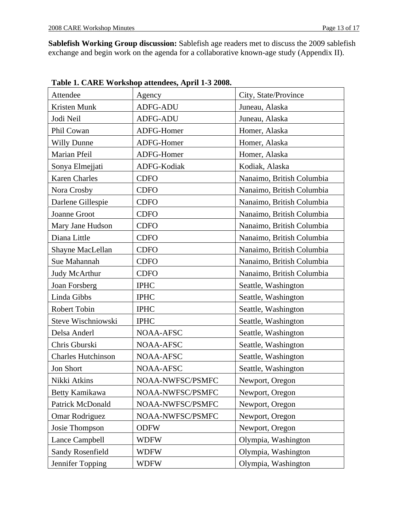**Sablefish Working Group discussion:** Sablefish age readers met to discuss the 2009 sablefish exchange and begin work on the agenda for a collaborative known-age study (Appendix II).

| Attendee             | Agency           | City, State/Province      |
|----------------------|------------------|---------------------------|
| Kristen Munk         | ADFG-ADU         | Juneau, Alaska            |
| Jodi Neil            | ADFG-ADU         | Juneau, Alaska            |
| Phil Cowan           | ADFG-Homer       | Homer, Alaska             |
| Willy Dunne          | ADFG-Homer       | Homer, Alaska             |
| Marian Pfeil         | ADFG-Homer       | Homer, Alaska             |
| Sonya Elmejjati      | ADFG-Kodiak      | Kodiak, Alaska            |
| <b>Karen Charles</b> | <b>CDFO</b>      | Nanaimo, British Columbia |
| Nora Crosby          | <b>CDFO</b>      | Nanaimo, British Columbia |
| Darlene Gillespie    | $\vert$ CDFO     | Nanaimo, British Columbia |
| Joanne Groot         | CDFO             | Nanaimo, British Columbia |
| Mary Jane Hudson     | CDFO             | Nanaimo, British Columbia |
| Diana Little         | CDFO             | Nanaimo, British Columbia |
| Shayne MacLellan     | <b>CDFO</b>      | Nanaimo, British Columbia |
| Sue Mahannah         | <b>CDFO</b>      | Nanaimo, British Columbia |
| Judy McArthur        | <b>CDFO</b>      | Nanaimo, British Columbia |
| Joan Forsberg        | <b>IPHC</b>      | Seattle, Washington       |
| Linda Gibbs          | <b>IPHC</b>      | Seattle, Washington       |
| Robert Tobin         | <b>IPHC</b>      | Seattle, Washington       |
| Steve Wischniowski   | <b>IPHC</b>      | Seattle, Washington       |
| Delsa Anderl         | NOAA-AFSC        | Seattle, Washington       |
| Chris Gburski        | NOAA-AFSC        | Seattle, Washington       |
| Charles Hutchinson   | NOAA-AFSC        | Seattle, Washington       |
| <b>Jon Short</b>     | NOAA-AFSC        | Seattle, Washington       |
| Nikki Atkins         | NOAA-NWFSC/PSMFC | Newport, Oregon           |
| Betty Kamikawa       | NOAA-NWFSC/PSMFC | Newport, Oregon           |
| Patrick McDonald     | NOAA-NWFSC/PSMFC | Newport, Oregon           |
| Omar Rodriguez       | NOAA-NWFSC/PSMFC | Newport, Oregon           |
| Josie Thompson       | ODFW             | Newport, Oregon           |
| Lance Campbell       | <b>WDFW</b>      | Olympia, Washington       |
| Sandy Rosenfield     | <b>WDFW</b>      | Olympia, Washington       |
| Jennifer Topping     | <b>WDFW</b>      | Olympia, Washington       |

**Table 1. CARE Workshop attendees, April 1-3 2008.**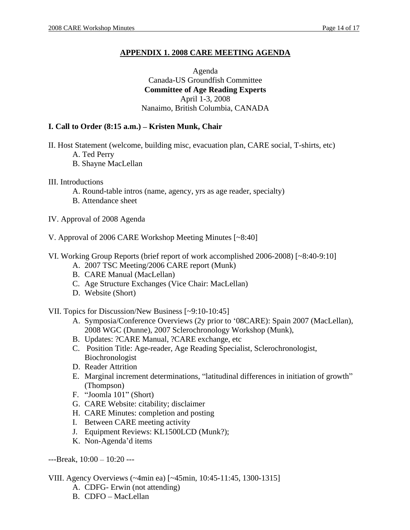# **APPENDIX 1. 2008 CARE MEETING AGENDA**

## Agenda Canada-US Groundfish Committee **Committee of Age Reading Experts** April 1-3, 2008 Nanaimo, British Columbia, CANADA

## **I. Call to Order (8:15 a.m.) – Kristen Munk, Chair**

- II. Host Statement (welcome, building misc, evacuation plan, CARE social, T-shirts, etc)
	- A. Ted Perry
	- B. Shayne MacLellan
- III. Introductions
	- A. Round-table intros (name, agency, yrs as age reader, specialty)
	- B. Attendance sheet
- IV. Approval of 2008 Agenda
- V. Approval of 2006 CARE Workshop Meeting Minutes [~8:40]
- VI. Working Group Reports (brief report of work accomplished 2006-2008) [~8:40-9:10]
	- A. 2007 TSC Meeting/2006 CARE report (Munk)
	- B. CARE Manual (MacLellan)
	- C. Age Structure Exchanges (Vice Chair: MacLellan)
	- D. Website (Short)
- VII. Topics for Discussion/New Business [~9:10-10:45]
	- A. Symposia/Conference Overviews (2y prior to '08CARE): Spain 2007 (MacLellan), 2008 WGC (Dunne), 2007 Sclerochronology Workshop (Munk),
	- B. Updates: ?CARE Manual, ?CARE exchange, etc
	- C. Position Title: Age-reader, Age Reading Specialist, Sclerochronologist, Biochronologist
	- D. Reader Attrition
	- E. Marginal increment determinations, "latitudinal differences in initiation of growth" (Thompson)
	- F. "Joomla 101" (Short)
	- G. CARE Website: citability; disclaimer
	- H. CARE Minutes: completion and posting
	- I. Between CARE meeting activity
	- J. Equipment Reviews: KL1500LCD (Munk?);
	- K. Non-Agenda'd items

 $--$ Break,  $10:00 - 10:20$  ---

- VIII. Agency Overviews (~4min ea) [~45min, 10:45-11:45, 1300-1315]
	- A. CDFG- Erwin (not attending)
	- B. CDFO MacLellan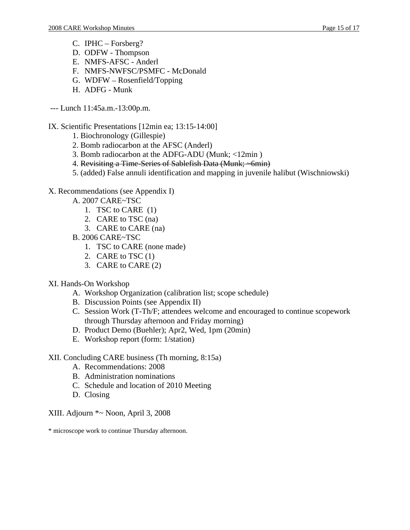- C. IPHC Forsberg?
- D. ODFW Thompson
- E. NMFS-AFSC Anderl
- F. NMFS-NWFSC/PSMFC McDonald
- G. WDFW  $-$  Rosenfield/Topping
- H. ADFG Munk
- --- Lunch 11:45a.m.-13:00p.m.

### IX. Scientific Presentations [12min ea; 13:15-14:00]

- 1. Biochronology (Gillespie)
- 2. Bomb radiocarbon at the AFSC (Anderl)
- 3. Bomb radiocarbon at the ADFG-ADU (Munk; <12min )
- 4. Revisiting a Time-Series of Sablefish Data (Munk; ~6min)
- 5. (added) False annuli identification and mapping in juvenile halibut (Wischniowski)

### X. Recommendations (see Appendix I)

- A. 2007 CARE~TSC
	- 1. TSC to CARE (1)
	- 2. CARE to TSC (na)
	- 3. CARE to CARE (na)
- B. 2006 CARE~TSC
	- 1. TSC to CARE (none made)
	- 2. CARE to TSC  $(1)$
	- 3. CARE to CARE (2)

## XI. Hands-On Workshop

- A. Workshop Organization (calibration list; scope schedule)
- B. Discussion Points (see Appendix II)
- C. Session Work (T-Th/F; attendees welcome and encouraged to continue scopework through Thursday afternoon and Friday morning)
- D. Product Demo (Buehler); Apr2, Wed, 1pm (20min)
- E. Workshop report (form: 1/station)

#### XII. Concluding CARE business (Th morning, 8:15a)

- A. Recommendations: 2008
- B. Administration nominations
- C. Schedule and location of 2010 Meeting
- D. Closing

#### XIII. Adjourn \*~ Noon, April 3, 2008

\* microscope work to continue Thursday afternoon.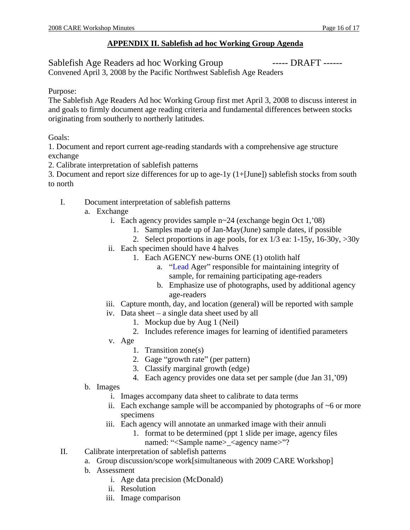# **APPENDIX II. Sablefish ad hoc Working Group Agenda**

Sablefish Age Readers ad hoc Working Group ------ DRAFT ------

Convened April 3, 2008 by the Pacific Northwest Sablefish Age Readers

## Purpose: The contract of the contract of the contract of the contract of the contract of the contract of the contract of the contract of the contract of the contract of the contract of the contract of the contract of the c

The Sablefish Age Readers Ad hoc Working Group first met April 3, 2008 to discuss interest in and goals to firmly document age reading criteria and fundamental differences between stocks originating from southerly to northerly latitudes.

Goals:

1. Document and report current age-reading standards with a comprehensive age structure exchange extensive state of the state of the state of the state of the state of the state of the state of the state of the state of the state of the state of the state of the state of the state of the state of the state of

- 2. Calibrate interpretation of sablefish patterns
- 3. Document and report size differences for up to age-1y (1+[June]) sablefish stocks from south to north
	- I. Document interpretation of sablefish patterns
		- a. Exchange
			- i. Each agency provides sample  $n \sim 24$  (exchange begin Oct 1, 08)
				- 1. Samples made up of Jan-May(June) sample dates, if possible
				- 2. Select proportions in age pools, for ex  $1/3$  ea:  $1-15y$ ,  $16-30y$ ,  $>30y$
			- ii. Each specimen should have 4 halves
				- 1. Each AGENCY new-burns ONE (1) otolith half
					- a. "Lead Ager" responsible for maintaining integrity of sample, for remaining participating age-readers
					- b. Emphasize use of photographs, used by additional agency age-readers
			- iii. Capture month, day, and location (general) will be reported with sample
			- iv. Data sheet  $-$  a single data sheet used by all
				- 1. Mockup due by Aug 1 (Neil)
				- 2. Includes reference images for learning of identified parameters
			- v. Age
				- 1. Transition zone(s)
				- 2. Gage "growth rate" (per pattern)
				- 3. Classify marginal growth (edge)
				- 4. Each agency provides one data set per sample (due Jan 31, 09)
		- b. Images
			- i. Images accompany data sheet to calibrate to data terms
			- ii. Each exchange sample will be accompanied by photographs of  $\sim$ 6 or more specimens and the set of the set of the set of the set of the set of the set of the set of the set of the set of the set of the set of the set of the set of the set of the set of the set of the set of the set of the set of
			- iii. Each agency will annotate an unmarked image with their annuli
				- 1. format to be determined (ppt 1 slide per image, agency files named: "<Sample name>\_<agency name>"?
	- II. Calibrate interpretation of sablefish patterns
		- a. Group discussion/scope work[simultaneous with 2009 CARE Workshop]
		- b. Assessment
			- i. Age data precision (McDonald)
			- ii. Resolution
			- iii. Image comparison